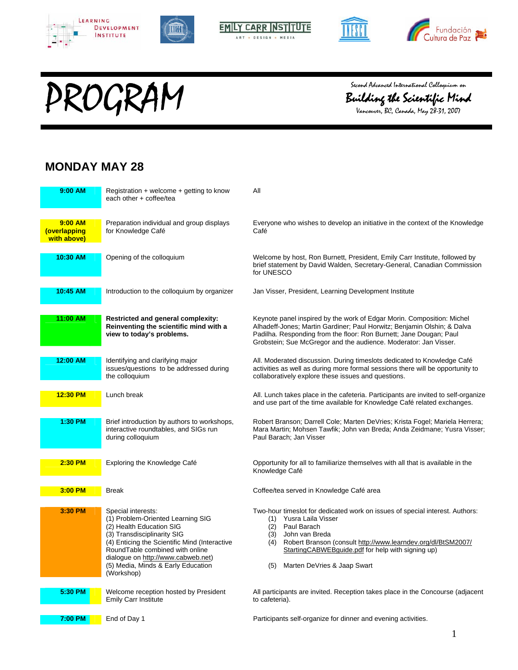









# Second Advanced International Colloquium on<br>Building the Scientific Mino<br>Vancouver, BC, Canada, May 28-31, 2007



Vancouver, BC, Canada, May 28-31, 2007

#### **MONDAY MAY 28**

| 9:00 AM                                | Registration $+$ welcome $+$ getting to know<br>each other + coffee/tea                                                                                                                                                                                                                          | All                                                                                                                                                                                                                                                                                                            |
|----------------------------------------|--------------------------------------------------------------------------------------------------------------------------------------------------------------------------------------------------------------------------------------------------------------------------------------------------|----------------------------------------------------------------------------------------------------------------------------------------------------------------------------------------------------------------------------------------------------------------------------------------------------------------|
| 9:00 AM<br>(overlapping<br>with above) | Preparation individual and group displays<br>for Knowledge Café                                                                                                                                                                                                                                  | Everyone who wishes to develop an initiative in the context of the Knowledge<br>Café                                                                                                                                                                                                                           |
| 10:30 AM                               | Opening of the colloquium                                                                                                                                                                                                                                                                        | Welcome by host, Ron Burnett, President, Emily Carr Institute, followed by<br>brief statement by David Walden, Secretary-General, Canadian Commission<br>for UNESCO                                                                                                                                            |
| 10:45 AM                               | Introduction to the colloquium by organizer                                                                                                                                                                                                                                                      | Jan Visser, President, Learning Development Institute                                                                                                                                                                                                                                                          |
| 11:00 AM                               | Restricted and general complexity:<br>Reinventing the scientific mind with a<br>view to today's problems.                                                                                                                                                                                        | Keynote panel inspired by the work of Edgar Morin. Composition: Michel<br>Alhadeff-Jones; Martin Gardiner; Paul Horwitz; Benjamin Olshin; & Dalva<br>Padilha. Responding from the floor: Ron Burnett; Jane Dougan; Paul<br>Grobstein; Sue McGregor and the audience. Moderator: Jan Visser.                    |
| 12:00 AM                               | Identifying and clarifying major<br>issues/questions to be addressed during<br>the colloquium                                                                                                                                                                                                    | All. Moderated discussion. During timeslots dedicated to Knowledge Café<br>activities as well as during more formal sessions there will be opportunity to<br>collaboratively explore these issues and questions.                                                                                               |
| 12:30 PM                               | Lunch break                                                                                                                                                                                                                                                                                      | All. Lunch takes place in the cafeteria. Participants are invited to self-organize<br>and use part of the time available for Knowledge Café related exchanges.                                                                                                                                                 |
| 1:30 PM                                | Brief introduction by authors to workshops,<br>interactive roundtables, and SIGs run<br>during colloquium                                                                                                                                                                                        | Robert Branson; Darrell Cole; Marten DeVries; Krista Fogel; Mariela Herrera;<br>Mara Martin; Mohsen Tawfik; John van Breda; Anda Zeidmane; Yusra Visser;<br>Paul Barach; Jan Visser                                                                                                                            |
| 2:30 PM                                | Exploring the Knowledge Café                                                                                                                                                                                                                                                                     | Opportunity for all to familiarize themselves with all that is available in the<br>Knowledge Café                                                                                                                                                                                                              |
| $3:00$ PM                              | <b>Break</b>                                                                                                                                                                                                                                                                                     | Coffee/tea served in Knowledge Café area                                                                                                                                                                                                                                                                       |
| 3:30 PM                                | Special interests:<br>(1) Problem-Oriented Learning SIG<br>(2) Health Education SIG<br>(3) Transdisciplinarity SIG<br>(4) Enticing the Scientific Mind (Interactive<br>RoundTable combined with online<br>dialogue on http://www.cabweb.net)<br>(5) Media, Minds & Early Education<br>(Workshop) | Two-hour timeslot for dedicated work on issues of special interest. Authors:<br>(1) Yusra Laila Visser<br>(2) Paul Barach<br>(3) John van Breda<br>(4) Robert Branson (consult http://www.learndev.org/dl/BtSM2007/<br>StartingCABWEBguide.pdf for help with signing up)<br>(5)<br>Marten DeVries & Jaap Swart |
| 5:30 PM                                | Welcome reception hosted by President<br><b>Emily Carr Institute</b>                                                                                                                                                                                                                             | All participants are invited. Reception takes place in the Concourse (adjacent<br>to cafeteria).                                                                                                                                                                                                               |
| 7:00 PM                                | End of Day 1                                                                                                                                                                                                                                                                                     | Participants self-organize for dinner and evening activities.                                                                                                                                                                                                                                                  |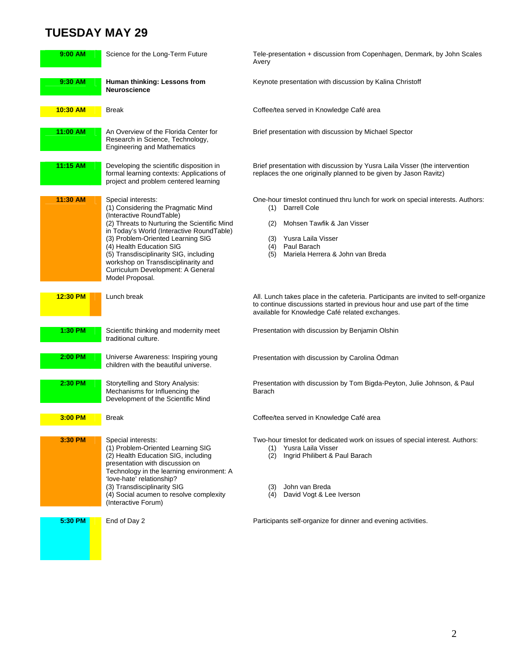## **TUESDAY MAY 29**

| $9:00$ AM | Science for the Long-Term Future                                                                                                                                                                                                                                                                                                                                                            | Tele-presentation + discussion from Copenhagen, Denmark, by John Scales<br>Avery                                                                                                                                                         |
|-----------|---------------------------------------------------------------------------------------------------------------------------------------------------------------------------------------------------------------------------------------------------------------------------------------------------------------------------------------------------------------------------------------------|------------------------------------------------------------------------------------------------------------------------------------------------------------------------------------------------------------------------------------------|
| 9:30 AM   | Human thinking: Lessons from<br>Neuroscience                                                                                                                                                                                                                                                                                                                                                | Keynote presentation with discussion by Kalina Christoff                                                                                                                                                                                 |
| 10:30 AM  | Break                                                                                                                                                                                                                                                                                                                                                                                       | Coffee/tea served in Knowledge Café area                                                                                                                                                                                                 |
| 11:00 AM  | An Overview of the Florida Center for<br>Research in Science, Technology,<br><b>Engineering and Mathematics</b>                                                                                                                                                                                                                                                                             | Brief presentation with discussion by Michael Spector                                                                                                                                                                                    |
| 11:15 AM  | Developing the scientific disposition in<br>formal learning contexts: Applications of<br>project and problem centered learning                                                                                                                                                                                                                                                              | Brief presentation with discussion by Yusra Laila Visser (the intervention<br>replaces the one originally planned to be given by Jason Ravitz)                                                                                           |
| 11:30 AM  | Special interests:<br>(1) Considering the Pragmatic Mind<br>(Interactive RoundTable)<br>(2) Threats to Nurturing the Scientific Mind<br>in Today's World (Interactive RoundTable)<br>(3) Problem-Oriented Learning SIG<br>(4) Health Education SIG<br>(5) Transdisciplinarity SIG, including<br>workshop on Transdisciplinarity and<br>Curriculum Development: A General<br>Model Proposal. | One-hour timeslot continued thru lunch for work on special interests. Authors:<br>Darrell Cole<br>(1)<br>Mohsen Tawfik & Jan Visser<br>(2)<br>Yusra Laila Visser<br>(3)<br>Paul Barach<br>(4)<br>Mariela Herrera & John van Breda<br>(5) |
| 12:30 PM  | Lunch break                                                                                                                                                                                                                                                                                                                                                                                 | All. Lunch takes place in the cafeteria. Participants are invited to self-organize<br>to continue discussions started in previous hour and use part of the time<br>available for Knowledge Café related exchanges.                       |
| 1:30 PM   | Scientific thinking and modernity meet<br>traditional culture.                                                                                                                                                                                                                                                                                                                              | Presentation with discussion by Benjamin Olshin                                                                                                                                                                                          |
| 2:00 PM   | Universe Awareness: Inspiring young<br>children with the beautiful universe.                                                                                                                                                                                                                                                                                                                | Presentation with discussion by Carolina Ödman                                                                                                                                                                                           |
| 2:30 PM   | Storytelling and Story Analysis:<br>Mechanisms for Influencing the<br>Development of the Scientific Mind                                                                                                                                                                                                                                                                                    | Presentation with discussion by Tom Bigda-Peyton, Julie Johnson, & Paul<br>Barach                                                                                                                                                        |
| $3:00$ PM | Break                                                                                                                                                                                                                                                                                                                                                                                       | Coffee/tea served in Knowledge Café area                                                                                                                                                                                                 |
| $3:30$ PM | Special interests:<br>(1) Problem-Oriented Learning SIG<br>(2) Health Education SIG, including<br>presentation with discussion on<br>Technology in the learning environment: A<br>'love-hate' relationship?<br>(3) Transdisciplinarity SIG<br>(4) Social acumen to resolve complexity<br>(Interactive Forum)                                                                                | Two-hour timeslot for dedicated work on issues of special interest. Authors:<br>Yusra Laila Visser<br>(1)<br>(2) Ingrid Philibert & Paul Barach<br>John van Breda<br>(3)<br>(4) David Vogt & Lee Iverson                                 |
| 5:30 PM   | End of Day 2                                                                                                                                                                                                                                                                                                                                                                                | Participants self-organize for dinner and evening activities.                                                                                                                                                                            |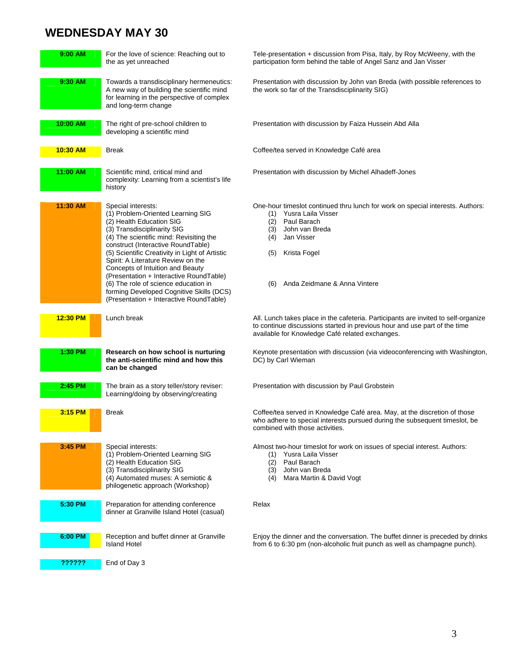## **WEDNESDAY MAY 30**

| 9:00 AM  | For the love of science: Reaching out to<br>the as yet unreached                                                                                                                                                                                                                                                                                                                                                                                                                                          | Tele-presentation + discussion from Pisa, Italy, by Roy McWeeny, with the<br>participation form behind the table of Angel Sanz and Jan Visser                                                                                              |
|----------|-----------------------------------------------------------------------------------------------------------------------------------------------------------------------------------------------------------------------------------------------------------------------------------------------------------------------------------------------------------------------------------------------------------------------------------------------------------------------------------------------------------|--------------------------------------------------------------------------------------------------------------------------------------------------------------------------------------------------------------------------------------------|
| 9:30 AM  | Towards a transdisciplinary hermeneutics:<br>A new way of building the scientific mind<br>for learning in the perspective of complex<br>and long-term change                                                                                                                                                                                                                                                                                                                                              | Presentation with discussion by John van Breda (with possible references to<br>the work so far of the Transdisciplinarity SIG)                                                                                                             |
| 10:00 AM | The right of pre-school children to<br>developing a scientific mind                                                                                                                                                                                                                                                                                                                                                                                                                                       | Presentation with discussion by Faiza Hussein Abd Alla                                                                                                                                                                                     |
| 10:30 AM | <b>Break</b>                                                                                                                                                                                                                                                                                                                                                                                                                                                                                              | Coffee/tea served in Knowledge Café area                                                                                                                                                                                                   |
| 11:00 AM | Scientific mind, critical mind and<br>complexity: Learning from a scientist's life<br>history                                                                                                                                                                                                                                                                                                                                                                                                             | Presentation with discussion by Michel Alhadeff-Jones                                                                                                                                                                                      |
| 11:30 AM | Special interests:<br>(1) Problem-Oriented Learning SIG<br>(2) Health Education SIG<br>(3) Transdisciplinarity SIG<br>(4) The scientific mind: Revisiting the<br>construct (Interactive RoundTable)<br>(5) Scientific Creativity in Light of Artistic<br>Spirit: A Literature Review on the<br>Concepts of Intuition and Beauty<br>(Presentation + Interactive RoundTable)<br>(6) The role of science education in<br>forming Developed Cognitive Skills (DCS)<br>(Presentation + Interactive RoundTable) | One-hour timeslot continued thru lunch for work on special interests. Authors:<br>(1) Yusra Laila Visser<br>(2)<br>Paul Barach<br>(3)<br>John van Breda<br>Jan Visser<br>(4)<br>Krista Fogel<br>(5)<br>Anda Zeidmane & Anna Vintere<br>(6) |
| 12:30 PM | Lunch break                                                                                                                                                                                                                                                                                                                                                                                                                                                                                               | All. Lunch takes place in the cafeteria. Participants are invited to self-organize<br>to continue discussions started in previous hour and use part of the time<br>available for Knowledge Café related exchanges.                         |
| 1:30 PM  | Research on how school is nurturing<br>the anti-scientific mind and how this<br>can be changed                                                                                                                                                                                                                                                                                                                                                                                                            | Keynote presentation with discussion (via videoconferencing with Washington,<br>DC) by Carl Wieman                                                                                                                                         |
| 2:45 PM  | The brain as a story teller/story reviser:<br>Learning/doing by observing/creating                                                                                                                                                                                                                                                                                                                                                                                                                        | Presentation with discussion by Paul Grobstein                                                                                                                                                                                             |
| 3:15 PM  | <b>Break</b>                                                                                                                                                                                                                                                                                                                                                                                                                                                                                              | Coffee/tea served in Knowledge Café area. May, at the discretion of those<br>who adhere to special interests pursued during the subsequent timeslot, be<br>combined with those activities.                                                 |
| 3:45 PM  | Special interests:<br>(1) Problem-Oriented Learning SIG<br>(2) Health Education SIG<br>(3) Transdisciplinarity SIG<br>(4) Automated muses: A semiotic &<br>philogenetic approach (Workshop)                                                                                                                                                                                                                                                                                                               | Almost two-hour timeslot for work on issues of special interest. Authors:<br>(1) Yusra Laila Visser<br>Paul Barach<br>(2)<br>John van Breda<br>(3)<br>Mara Martin & David Vogt<br>(4)                                                      |
| 5:30 PM  | Preparation for attending conference<br>dinner at Granville Island Hotel (casual)                                                                                                                                                                                                                                                                                                                                                                                                                         | Relax                                                                                                                                                                                                                                      |
| 6:00 PM  | Reception and buffet dinner at Granville<br><b>Island Hotel</b>                                                                                                                                                                                                                                                                                                                                                                                                                                           | Enjoy the dinner and the conversation. The buffet dinner is preceded by drinks<br>from 6 to 6:30 pm (non-alcoholic fruit punch as well as champagne punch).                                                                                |
| ??????   | End of Day 3                                                                                                                                                                                                                                                                                                                                                                                                                                                                                              |                                                                                                                                                                                                                                            |